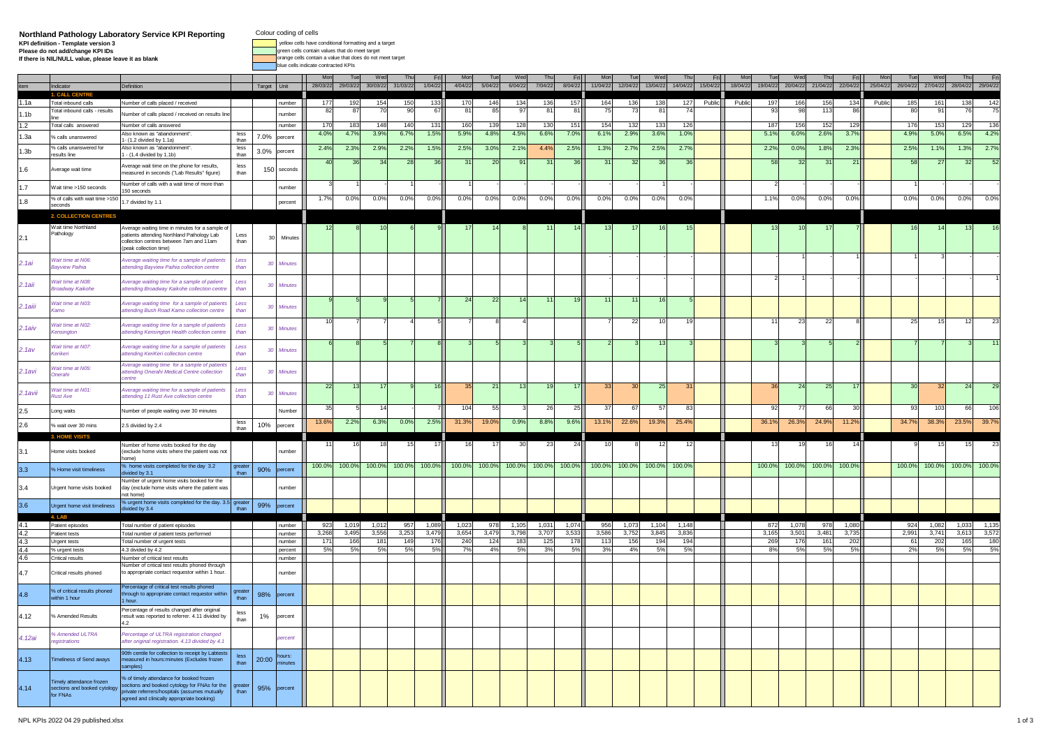## **Northland Pathology Laboratory Service KPI Reporting Colour coding of cells<br>Please do not addichange KPI definition - Template version 3<br>Please do not addichange KPI DIS CONDUCT DEFAULT and the service of the conditional**

Colour coding of cells

**3** yellow cells have conditional formatting and a target

**k orange cells contain a value that does do not meet target** blue cells indicate contracted KPIs

|                                                             | ndicator                                                             | Definition                                                                                                                                                                            |                | Target Unit    |                   | $M\alpha$<br>28/03/22 | Tu<br>29/03/22 | We<br>30/03/22           | 31/03/2        | Fri<br>1/04/22 | Mor<br>4/04/22  | Tue<br>5/04/22 | Wed<br>6/04/22 | Thu<br>7/04/22 | Fri<br>8/04/22 | Mor<br>11/04/22 | 12/04/22  | We<br>13/04/22 | 14/04/22     | 15/04/2 | Mo<br>18/04/22 | 19/04/22  | We<br>20/04/22    | 21/04/22     | 22/04/22  | Mo<br>25/04/22 | 26/04/22 | We<br>27/04/22  | Th<br>28/04/22 29/04/22 |              |
|-------------------------------------------------------------|----------------------------------------------------------------------|---------------------------------------------------------------------------------------------------------------------------------------------------------------------------------------|----------------|----------------|-------------------|-----------------------|----------------|--------------------------|----------------|----------------|-----------------|----------------|----------------|----------------|----------------|-----------------|-----------|----------------|--------------|---------|----------------|-----------|-------------------|--------------|-----------|----------------|----------|-----------------|-------------------------|--------------|
| 1.1a                                                        | Total inbound calls                                                  | Number of calls placed / received                                                                                                                                                     |                |                | number            | 177                   | 192            | 154                      | 15             | 133            | 17              | 146            | 134            | 136            | 157            | 164             | 136       | 138            | 127          | Public  | Publio         | 197       | 166               | 156          | 134       | Public         | 185      | 16'             | 138                     | 142          |
| 1.1 <sub>b</sub>                                            | Total inbound calls - results                                        | Number of calls placed / received on results line                                                                                                                                     |                |                | number            | 82                    | -87            | 7 <sub>0</sub>           |                | 6              | -8              | 85             | 9              | -81            | 81             |                 |           | 8'             | 74           |         |                | 93        | 9                 | 113          | 86        |                |          |                 |                         | 75           |
| 1.2                                                         | Total calls answered                                                 | Number of calls answered                                                                                                                                                              |                |                | number            | 170                   | 183            | 148                      | 141            | 131            | 160             | 139            | 128            | 130            | 151            | 154             | 132       | 133            | 126          |         |                | 187       | 156               | 152          | 129       |                | 176      | 153             | 129                     | 136          |
| 1.3a                                                        | % calls unanswered                                                   | lso known as "abandonment".                                                                                                                                                           | less           | 7.0%           | percent           | 4.0%                  | 4.7%           | 3.9%                     | 6.79           | 1.5%           | 5.9%            | 4.8%           | 4.5%           | 6.6%           | 7.0%           | 6.19            | 2.9%      | 3.6%           | 1.0%         |         |                | 5.1%      | 6.0%              | 2.6%         | 3.7%      |                | 4.9%     | 5.0%            | 6.5%                    | 4.2%         |
|                                                             | 6 calls unanswered for                                               | 1- (1.2 divided by 1.1a)<br>Viso known as "abandonment".                                                                                                                              | than<br>less   |                |                   | 2.4%                  | 2.3%           | 2.9%                     | 2.2%           | 1.5%           | 2.5%            | 3.0%           | 2.1%           | 4.4%           | 2.5%           | 1.3%            | 2.7%      | 2.5%           | 2.7%         |         |                | 2.2%      | 0.0%              | 1.8%         | 2.3%      |                | 2.5%     | 1.19            | 1.3%                    | 2.7%         |
| 1.3 <sub>b</sub>                                            | esults line                                                          | $- (1.4 \div 1.1b)$                                                                                                                                                                   | than           | 3.0%           | percent           |                       |                |                          |                |                |                 |                |                |                |                |                 |           |                |              |         |                |           |                   |              |           |                |          |                 |                         |              |
| 1.6                                                         | verage wait time                                                     | Average wait time on the phone for results,<br>easured in seconds ("Lab Results" figure)                                                                                              | less<br>than   | 150            | seconds           | -40                   | 36             | 34                       | -21            | 36.            | -31             | 20             | 91             | -31            | 36             | -3              | -31       | 36             | 36           |         |                | 58        | 32                | 31           | 21        |                | 58       | -27             | -32                     | - 52         |
| 1.7                                                         | Wait time >150 seconds                                               | Number of calls with a wait time of more than<br>150 seconds                                                                                                                          |                |                | number            |                       |                |                          |                |                |                 |                |                |                |                |                 |           |                |              |         |                |           |                   |              |           |                |          |                 |                         |              |
| 1.8                                                         | % of calls with wait time >15                                        | .7 divided by 1.1                                                                                                                                                                     |                |                | percent           | 1.7%                  | $0.0\%$        | $0.0\%$                  | $0.0\%$        | $0.0\%$        | $0.0\%$         | $0.0\%$        | 0.0%           | 0.0%           | 0.0%           | $0.0\%$         | $0.0\%$   | $0.0\%$        | 0.0%         |         |                | 1.1%      | $0.0\%$           | 0.0%         | $0.0\%$   |                | 0.0%     | 0.0%            | 0.0%                    | 0.0%         |
|                                                             | econds                                                               |                                                                                                                                                                                       |                |                |                   |                       |                |                          |                |                |                 |                |                |                |                |                 |           |                |              |         |                |           |                   |              |           |                |          |                 |                         |              |
|                                                             | <b>2. COLLECTION CENTRES</b>                                         |                                                                                                                                                                                       |                |                |                   |                       |                |                          |                |                |                 |                |                |                |                |                 |           |                |              |         |                |           |                   |              |           |                |          |                 |                         |              |
| 2.1                                                         | Wait time Northland<br>Pathology                                     | Average waiting time in minutes for a sample of<br>atients attending Northland Pathology Lab<br>collection centres between 7am and 11am<br>eak collection time)                       | Less<br>than   | 3 <sub>0</sub> | Minutes           |                       |                |                          |                |                |                 |                |                |                |                |                 |           |                |              |         |                |           |                   |              |           |                |          |                 |                         |              |
| 2.1ai                                                       | Vait time at NO6:<br><b>Bavview Paihia</b>                           | verage waiting time for a sample of patients<br>tending Bayview Paihia collection centre                                                                                              | Less<br>than   |                | Minutes           |                       |                |                          |                |                |                 |                |                |                |                |                 |           |                |              |         |                |           |                   |              |           |                |          |                 |                         |              |
| $2.1$ aii                                                   | Vait time at NO8:<br>roadway Kaikohe                                 | verage waiting time for a sample of patient<br>ttending Broadway Kaikohe collection centre                                                                                            | Less<br>than   |                | <b>Minutes</b>    |                       |                |                          |                |                |                 |                |                |                |                |                 |           |                |              |         |                |           |                   |              |           |                |          |                 |                         |              |
| 2.1aiii                                                     | Vait time at N03:                                                    | verage waiting time for a sample of patients<br>tending Bush Road Kamo collection centre                                                                                              | Less<br>thar   | 30             | Minutes           |                       |                |                          |                |                |                 | 22             |                |                |                |                 |           |                |              |         |                |           |                   |              |           |                |          |                 |                         |              |
| $2.1$ aiv                                                   | Vait time at N02:<br><i><b>Censinaton</b></i>                        | verage waiting time for a sample of patients<br>tending Kensington Health collection centre                                                                                           | Less<br>than   | 30             | Minutes           |                       |                |                          |                |                |                 |                |                |                |                |                 | 22        |                |              |         |                |           | 23                | 22           |           |                | 25       |                 |                         |              |
| 2.1av                                                       | Vait time at N07:<br><i><b>Ceriken</b></i>                           | verage waiting time for a sample of patients<br>ttending KeriKeri collection centre                                                                                                   | Less<br>thar   | 30             | Minutes           |                       |                |                          |                |                |                 |                |                |                |                |                 |           |                |              |         |                |           |                   |              |           |                |          |                 |                         |              |
| 2.1avi                                                      | Vait time at N05:<br><b>Inerahi</b>                                  | verage waiting time for a sample of patients<br>ttending Onerahi Medical Centre collection                                                                                            | Less<br>thar   | $\mathcal{H}$  | Minutes           |                       |                |                          |                |                |                 |                |                |                |                |                 |           |                |              |         |                |           |                   |              |           |                |          |                 |                         |              |
| 2.1avii                                                     | Vait time at N01:<br><b>Rust Ave</b>                                 | <b>Nverage waiting time for a sample of patients</b><br>ttending 11 Rust Ave collection centre                                                                                        | Less<br>than   | 30             | Minutes           | 22                    |                |                          |                |                |                 | 21             |                | 19             | 17             |                 |           | -25            |              |         |                | 36        | 24                | 25           |           |                |          |                 | 24                      |              |
|                                                             | Long waits                                                           | Number of people waiting over 30 minutes                                                                                                                                              |                |                | Number            |                       |                | 14                       |                |                | 10 <sup>4</sup> | 55             |                | 26             | 25             |                 |           | 5              | 83           |         |                | 92        | $\overline{\tau}$ | 66           | 30        |                | 9        | 10 <sup>°</sup> | 66                      | 106          |
| $2.5$<br>$2.6$                                              | 6 wait over 30 mins                                                  | 2.5 divided by 2.4                                                                                                                                                                    | less<br>than   | 10%            | percent           | 13.6%                 | 2.2%           | 6.3%                     | 0.0%           | 2.5%           | 31.3%           | 19.0%          | 0.9%           | 8.8%           | 9.6%           | 13.1%           | 22.6%     | 19.3%          | 25.4%        |         |                | 36.1%     | 26.3%             | 24.9%        | 11.2%     |                | 34.7%    | 38.3%           | 23.5%                   | 39.7%        |
|                                                             |                                                                      |                                                                                                                                                                                       |                |                |                   |                       |                |                          |                |                |                 |                |                |                |                |                 |           |                |              |         |                |           |                   |              |           |                |          |                 |                         |              |
| 3.1                                                         | Home visits booked                                                   | Jumber of home visits booked for the dav<br>exclude home visits where the patient was not<br>(nome                                                                                    |                |                | number            |                       |                |                          |                |                |                 |                |                | 23             | 24             |                 |           |                |              |         |                |           |                   |              |           |                |          |                 |                         |              |
| 3.3                                                         | 6 Home visit timeliness                                              | % home visits completed for the day 3.2<br>divided by 3.1                                                                                                                             | greate<br>than | 90%            | percent           | 100.0%                | 100.0%         | 100.0%                   | 100.0%         | 100.0%         | 100.0%          | 100.0%         | 100.0%         | 100.0%         | 100.0%         | 100.0%          | 100.0%    | 100.0%         | 100.0%       |         |                | 100.0%    | 100.0%            | 100.0%       | 100.0%    |                | 100.0%   | 100.0%          | 100.0%                  | 100.0%       |
| 3.4                                                         | Urgent home visits booked                                            | Number of urgent home visits booked for the<br>day (exclude home visits where the patient was<br>not home)                                                                            |                |                | number            |                       |                |                          |                |                |                 |                |                |                |                |                 |           |                |              |         |                |           |                   |              |           |                |          |                 |                         |              |
| 3.6                                                         | Urgent home visit timeliness                                         | % urgent home visits completed for the day. 3.5 greate<br>vided by 3.4                                                                                                                | than           | 99%            | percent           |                       |                |                          |                |                |                 |                |                |                |                |                 |           |                |              |         |                |           |                   |              |           |                |          |                 |                         |              |
|                                                             | 4. L4                                                                |                                                                                                                                                                                       |                |                |                   |                       |                |                          |                |                |                 |                |                |                |                |                 |           |                |              |         |                |           |                   |              |           |                |          |                 |                         |              |
|                                                             | Patient episodes                                                     | Total number of patient episodes                                                                                                                                                      |                |                | number            | 923                   | 1,019          | 1,012                    | 95             | 1,089          | 1,02            | 978            | 1,105          | 1,031          | 1,074          | 956             | 1,073     | 1,104          | 1,148        |         |                | 872       | 1,078             | 978          | 1,080     |                | 92       | 1,082           | 1,033                   |              |
| $\frac{4.1}{4.2}$<br>$\frac{4.3}{4.4}$<br>$\frac{4.4}{4.6}$ | <b>Patient tests</b>                                                 | Total number of patient tests performed                                                                                                                                               |                |                | humber            | 3,268                 | 3.49           | 3,556<br>18 <sup>1</sup> | 3,25<br>14     | 3,47           | 3,654           | 3,479          | 3,798<br>183   | 3,70           | 3,533<br>178   | 3,586<br>11     | 3,752     | 3,845<br>194   | 3,836<br>194 |         |                | 3,16      | 3,501             | 3,481<br>161 | 3,735     |                | 2,991    | 3,74'           | 3,61                    | 3,572<br>180 |
|                                                             | <b>Urgent tests</b><br>% urgent tests                                | Total number of urgent tests<br>4.3 divided by 4.2                                                                                                                                    |                |                | number<br>bercent | 171<br>5%             | 166<br>5%      | 5%                       | 5 <sup>o</sup> | 176<br>5%      | 240<br>7%       | 124<br>4%      | 5%             | 125<br>3%      | 5%             |                 | 156<br>4% | 5%             | 5%           |         |                | 269<br>8% | 176<br>.5%        | 5%           | 202<br>5% |                | 61<br>2% | 202<br>5%       | 165<br>5%               | 5%           |
|                                                             | Critical results                                                     | Number of critical test results                                                                                                                                                       |                |                | number            |                       |                |                          |                |                |                 |                |                |                |                |                 |           |                |              |         |                |           |                   |              |           |                |          |                 |                         |              |
| 4.7                                                         | Critical results phoned                                              | Number of critical test results phoned through<br>to appropriate contact requestor within 1 hour.                                                                                     |                |                | number            |                       |                |                          |                |                |                 |                |                |                |                |                 |           |                |              |         |                |           |                   |              |           |                |          |                 |                         |              |
| 4.8                                                         | % of critical results phoned<br>within 1 hour                        | Percentage of critical test results phoned<br>hrough to appropriate contact requestor within<br>hour                                                                                  | greate<br>than | 98%            | percent           |                       |                |                          |                |                |                 |                |                |                |                |                 |           |                |              |         |                |           |                   |              |           |                |          |                 |                         |              |
| 4.12                                                        | 6 Amended Results                                                    | Percentage of results changed after original<br>esult was reported to referrer. 4.11 divided by                                                                                       | less<br>than   | $1\%$          | percent           |                       |                |                          |                |                |                 |                |                |                |                |                 |           |                |              |         |                |           |                   |              |           |                |          |                 |                         |              |
| 4.12ai                                                      | <b>Amended ULTRA</b><br>egistrations                                 | Percentage of ULTRA registration changed<br>after original registration. 4.13 divided by 4.1                                                                                          |                |                | percent           |                       |                |                          |                |                |                 |                |                |                |                |                 |           |                |              |         |                |           |                   |              |           |                |          |                 |                         |              |
| 4.13                                                        | <b>Timeliness of Send aways</b>                                      | Oth centile for collection to receipt by Labtests<br>easured in hours:minutes (Excludes frozen<br>mples)                                                                              | less.<br>than  | 20:00          | hours:<br>ninutes |                       |                |                          |                |                |                 |                |                |                |                |                 |           |                |              |         |                |           |                   |              |           |                |          |                 |                         |              |
| 4.14                                                        | Timely attendance frozen<br>sections and booked cytology<br>for FNAs | of timely attendance for booked frozen<br>ections and booked cytology for FNAs for the<br>private referrers/hospitals (assumes mutually<br>agreed and clinically appropriate booking) | greate<br>than | 95%            | percent           |                       |                |                          |                |                |                 |                |                |                |                |                 |           |                |              |         |                |           |                   |              |           |                |          |                 |                         |              |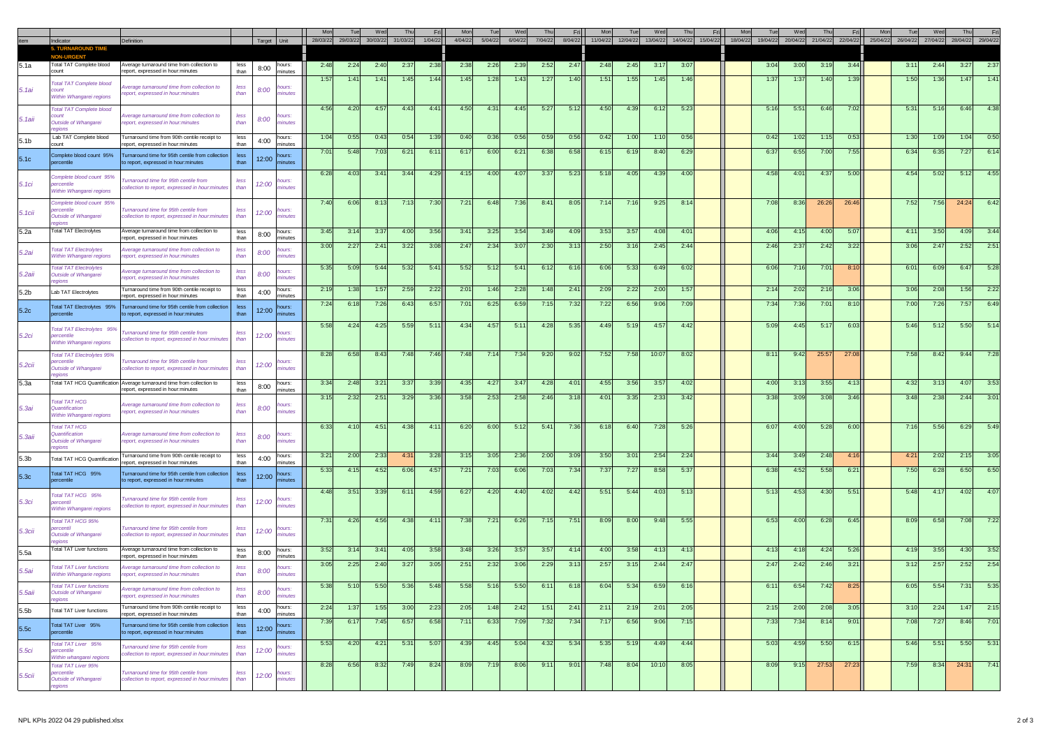|                   | Indicator<br><b>ND TIME</b><br>5. TURN                                  | Definition                                                                                                                    |                      | Target Unit |                             |      | 28/03/22 29/03/22 | 30/03/22 | 31/03/22 | 1/04/22 | 4/04/22 | 5/04/22 | 6/04/22 | 7/04/22 | Fri<br>8/04/22 | 11/04/22 | 12/04/22      | We<br>13/04/22 | 14/04/22 | 15/04/22 | 18/04/22 | 19/04/22 | 20/04/22 | 21/04/22 | Fri<br>22/04/22 | 25/04/22 | 26/04/22 | 27/04/22 | 28/04/22 29/04/22 |      |
|-------------------|-------------------------------------------------------------------------|-------------------------------------------------------------------------------------------------------------------------------|----------------------|-------------|-----------------------------|------|-------------------|----------|----------|---------|---------|---------|---------|---------|----------------|----------|---------------|----------------|----------|----------|----------|----------|----------|----------|-----------------|----------|----------|----------|-------------------|------|
| 5.1a              | Total TAT Complete blood                                                | verage turnaround time from collection to                                                                                     | less                 | 8:00        | hours:                      | 2:48 | 2:24              | 2:40     | 2:37     | 2:38    | 2:38    | 2:26    | 2:39    | 2:52    | 2:47           | 2:48     | 2:45          | 3:17           | 3:07     |          |          | 3:04     | 3:00     | 3:1      | 3:44            |          | 3:11     | 2:44     | 3:27              | 2:37 |
| 5.1ai             | count<br><b>Total TAT Complete blood</b><br>count                       | eport, expressed in hour:minutes<br>verage turnaround time from collection to                                                 | than<br>less         | 8:00        | minutes<br>hours:           | 1:57 | 1:41              | 1:41     | 1:45     | 1:44    | 1:45    | 1:28    | 1:43    | 1:27    | 1:40           | 1:5'     | 1:55          | 1:45           | 1:46     |          |          | 1:37     | 1:37     | 1:40     | 1:39            |          | 1:50     | -1:36    | 1:47              | 1:41 |
|                   | <b>Nithin Whangarei regions</b><br>Total TAT Complete blood             | eport, expressed in hour:minutes                                                                                              | than                 |             | ninutes                     | 4:56 | 4:20              | 4:57     | 4:43     | 4:41    | 4:50    | 4:31    | 4:45    | 5:27    | 5:12           | 4:50     | 4:39          | 6:12           | 5:23     |          |          | 5:16     | 5:51     | 6:46     | 7:02            |          | 5:31     | 5:16     | 6:46              | 4:38 |
| 5. 1aii           | :ouni<br>Outside of Whangarei<br>egions<br>Lab TAT Complete blood       | verage turnaround time from collection to<br>eport, expressed in hour:minutes<br>Turnaround time from 90th centile receipt to | less<br>than<br>less | 8:00        | hours:<br>minutes<br>hours: | 1:04 | 0:55              | 0:43     | 0:54     | 1:39    | 0:40    | 0:36    | 0:56    | 0:59    | 0:56           | 0:42     | -1:00         | 1:10           | 0:56     |          |          | 0:42     | 1:02     | 1:15     | 0:53            |          | -1:30    | 1:0      | 1:04              | 0:50 |
| 5.1 <sub>b</sub>  | :ount<br>omplete blood count 95%                                        | sport, expressed in hour:minutes<br>Turnaround time for 95th centile from collection                                          | than<br>less         | 4:00        | minutes<br>hours:           | 7:01 | 5:48              | 7:03     | 6:21     | 6:11    | -6:17   | 6:00    | 6:21    | 6:38    | 6:58           | 6:15     | 6:19          | 8:40           | 6:29     |          |          | 6:37     | 6:55     | 7:00     | 7:55            |          | 6:34     | 6:35     | 7:27              | 6:1  |
| 5.1c              | rcentile                                                                | o report, expressed in hour: minutes                                                                                          | than                 | 12:00       | ninutes                     | 6:28 | 4:03              | 3:41     | 3:44     | 4:29    | 4:15    | 4:00    | 4:07    | 3:37    | 5:23           | 5:18     | 4:05          | 4:39           | 4:00     |          |          | 4:58     | 4:01     | 4:37     | 5:00            |          | 4:54     | 5:02     | 5:12              | 4:55 |
| 5. 1ci            | omplete blood count 95%<br>percentile<br>Within Whangarei regions       | urnaround time for 95th centile from<br>ollection to report, expressed in hour:minutes                                        | less<br>than         | 12:00       | <b>YOUrs:</b><br>ninutes    |      |                   |          |          |         |         |         |         |         |                |          |               |                |          |          |          |          |          |          |                 |          |          |          |                   |      |
| 5. 1cii           | omplete blood count 95%<br>percentile<br>Outside of Whangarei<br>kaions | urnaround time for 95th centile from<br>ollection to report, expressed in hour:minutes                                        | less<br>than         | 12:00       | <b>hours:</b><br>ninutes    | 7:40 | 6:06              | 8:13     | 7:13     | 7:30    | 7:21    | 6:48    | 7:36    | 8:41    | 8:05           | 7:14     | 7:16          | 9:25           | 8:14     |          |          | 7:08     | 8:36     | 26:26    | 26:46           |          | 7:52     | 7:56     | 24:24             | 6:42 |
| 5.2a              | Total TAT Electrolytes                                                  | verage turnaround time from collection to<br>eport, expressed in hour:minutes                                                 | less<br>than         | 8:00        | hours:<br>minutes           | 3:45 | 3:14              | 3:37     | 4:00     | 3:56    | 3:41    | 3:25    | 3:54    | 3:49    | 4:09           | 3:53     | 3:57          | 4:08           | 4:01     |          |          | 4:06     | 4:15     | 4:00     | 5:07            |          | 4:11     | 3:50     | 4:09              | 3:44 |
| 5.2ai             | otal TAT Electrolytes<br>Within Whangarei regions                       | verage turnaround time from collection to<br>port, expressed in hour:minutes                                                  | less<br>than         | 8:00        | <b>YOUrs:</b><br>ninutes    | 3:00 | 2:27              | 2:41     | 3:22     | 3:08    | 2:47    | 2:34    | 3:07    | 2:30    | 3:13           | 2:50     | 3:16          | 2:45           | 2:44     |          |          | 2:46     | 2:37     | 2:42     | 3:22            |          | 3:06     | 2:47     | 2:52              | 2:51 |
| 5.2aii            | otal TAT Electrolytes<br>Outside of Whangarei<br>aions                  | verage turnaround time from collection to<br>sport, expressed in hour:minutes                                                 | less<br>thar         | 8:00        | hours:<br>inute:            | 5:35 | 5:09              | 5:44     | 5:32     | 5:41    | 5:52    | 5:12    | 5:41    | 6:12    | 6:16           | 6:06     | 5:33          | 6:49           | 6:02     |          |          | 6:06     | 7:16     | 7:01     | 8:10            |          | 6:01     | 6:09     | 6:47              | 5:28 |
| 5.2 <sub>b</sub>  | Lab TAT Electrolytes                                                    | urnaround time from 90th centile receipt to<br>enort, expressed in hour:minutes                                               | less<br>than         | 4:00        | hours:<br>minutes           | 2:19 | 1:38              | 1:57     | 2:59     | 2:22    | 2:01    | 1:46    | 2:28    | 1:48    | 2:41           | 2:09     | 2:22          | 2:00           | 1:57     |          |          | 2:14     | 2:02     | 2:16     | 3:06            |          | 3:06     | 2:08     | 1:56              | 2:22 |
| 5.2c              | Total TAT Electrolytes 95%<br>ercentile                                 | Turnaround time for 95th centile from collection<br>o report, expressed in hour:minutes                                       | less<br>than         | 12:00       | hours:<br>ninutes           | 7:24 | 6:18              | 7:26     | 6:43     | 6:57    | 7:01    | 6:25    | 6:59    | 7:15    | 7:32           | 7:22     | 6:56          | 9:06           | 7:09     |          |          | 7:34     | 7:36     | 7:0      | 8:10            |          | 7:00     | 7:26     | 7:57              | 6:49 |
| 5.2ci             | Total TAT Electrolytes 95%<br>percentile<br>Nithin Whangarei regions    | urnaround time for 95th centile from<br>ollection to report, expressed in hour:minutes                                        | less<br>than         | 12:00       | hours:<br>minutes           | 5:58 | 4:24              | 4:25     | 5:59     | 5:11    | 4:34    | 4:57    | 5:11    | 4:28    | 5:35           | 4:49     | 5:19          | 4:57           | 4:42     |          |          | 5:09     | 4:45     | $-5:1$   | 6:03            |          | 5:46     | $-5:12$  | 5:50              | 5:14 |
| 5.2cii            | Total TAT Electrolytes 95%<br>percentile<br><b>Jutside of Whangarei</b> | urnaround time for 95th centile from<br>ollection to report, expressed in hour:minute                                         | less<br>than         | 12:00       | hours:<br>minutes           | 8:28 | 6:58              | 8:43     | 7:48     | 7:46    | 7:48    | 7:14    | 7:34    | 9:20    | 9:02           | 7:52     | 7:58          | 10:07          | 8:02     |          |          | 8:1'     | 9:42     | 25:5     | 27:08           |          | 7:58     | 8:42     | 9:44              | 7:28 |
| 5.3a              | Fotal TAT HCG Quantification                                            | Average turnaround time from collection to<br>sport, expressed in hour:minutes                                                | less<br>than         | 8:00        | hours:<br>minutes           | 3:34 | 2:48              | 3:21     | 3:37     | 3:39    | 4:35    | 4:27    | 3:47    | 4:28    | 4:01           | 4:55     | 3:56          | 3:57           | 4:02     |          |          | 4:00     | 3:13     | 3:55     | 4:13            |          | 4:32     | 3:1      | 4:07              | 3:53 |
| 5. 3a i           | otal TAT HCG<br>Quantification<br>Within Whangarei regions              | verage turnaround time from collection to<br>port, expressed in hour:minutes                                                  | less<br>than         | 8:00        | hours:<br>ninutes           | 3:15 | 2:32              | 2:51     | 3:29     | 3:36    | 3:58    | 2:53    | 2:58    | 2:46    | 3:18           | 4:01     | 3:35          | 2:33           | 3:42     |          |          | 3:38     | 3:09     | 3:08     | 3:46            |          | 3:48     | 2:38     | 2:44              | 3:01 |
| 5. 3aii           | Total TAT HCG<br><b>Quantification</b><br>Outside of Whangarei          | verage turnaround time from collection to<br>eport, expressed in hour:minutes                                                 | less<br>than         | 8:00        | purs<br>ninutes             | 6:33 | 4:10              | 4:51     | 4:38     | 4:11    | 6:20    | 6:00    | 5:12    | 5:41    | 7:36           | 6:18     | 6:40          | 7:28           | 5:26     |          |          | 6:07     | 4:00     | 5:28     | 6:00            |          | 7:16     | 5:56     | 6:29              | 5:49 |
| 5.3b              | <b>Total TAT HCG Quantification</b>                                     | Furnaround time from 90th centile receipt to<br>eport, expressed in hour:minutes                                              | less<br>than         | 4:00        | hours:<br>minutes           | 3:21 | 2:00              | 2:33     | 4:31     | 3:28    | 3:15    | 3:05    | 2:36    | 2:00    | 3:09           | 3:50     | $3:0^{\circ}$ | 2:54           | 2:24     |          |          | 3:44     | 3:49     | 2:48     | 4:16            |          | 4:21     | 2:02     | 2:15              | 3:05 |
| 5.3c              | Total TAT HCG 95%<br>percentile                                         | urnaround time for 95th centile from collection<br>o report, expressed in hour:minutes                                        | less<br>than         | 12:00       | hours:<br>ninutes           | 5:33 | 4:15              | 4:52     | 6:06     | 4:57    | 7:21    | 7:03    | 6:06    | 7:03    | 7:34           | 7:37     | 7:27          | 8:58           | 5:37     |          |          | 6:38     | 4:52     | 5:58     | 6:21            |          | 7:50     | 6:28     | 6:50              | 6:50 |
| 5.3ci             | Total TAT HCG 95%<br>percentil<br>Within Whangarei regions              | urnaround time for 95th centile from<br>ollection to report, expressed in hour:minute:                                        | less<br>than         | 12:00       | hours:<br>ninutes           | 4:48 | 3:51              | 3:39     | 6:11     | 4:59    | 6:27    | 4:20    | 4:40    | 4:02    | 4:42           | 5:51     | 5:44          | 4:03           | 5:13     |          |          | 5:13     | 4:53     | 4:30     | 5:51            |          | 5:48     | 4:17     | 4:02              | 4:07 |
| 5.3 <sub>ci</sub> | Total TAT HCG 95%<br>ercenti<br>Outside of Whangarei<br>eaions          | urnaround time for 95th centile from<br>ollection to report, expressed in hour:minute:                                        | less<br>than         | 12:00       | hours:<br>ninutes           | 7:31 | 4:26              | 4:56     | 4:38     | 4:11    | 7:38    | 7:21    | 6:26    | 7:15    | 7:51           | 8:09     | 8:00          | 9:48           | 5:55     |          |          | 6:53     | 4:00     | 6:28     | 6:45            |          | 8:09     | 6:58     | 7:08              | 7:22 |
| 5.5a              | <b>Total TAT Liver functions</b>                                        | verage turnaround time from collection to<br>sport, expressed in hour:minutes                                                 | less<br>than         | 8:00        | hours:<br>minutes           | 3:52 | 3:14              | 3:41     | 4:05     | 3:58    | 3:48    | 3:26    | 3:57    | 3:57    | 4:14           | 4:00     | 3:58          | 4:1            | 4:13     |          |          | 4:13     | 4:18     | 4:24     | 5:26            |          | 4:1      | 3:5      | 4:30              | 3:52 |
| 5.5ai             | <b>Total TAT Liver functions</b><br>Within Whangarie regions            | verage turnaround time from collection to<br>eport, expressed in hour:minutes                                                 | less<br>thar         | 8:00        | hours:<br>ninutes           | 3:05 | 2:25              | 2:40     | 3:27     | 3:05    | 2:51    | 2:32    | 3:06    | 2:29    | 3:13           | 2:57     | 3:15          | 2:44           | 2:47     |          |          | 2:47     | 2:42     | 2:46     | 3:21            |          | 3:12     | 2:57     | 2:52              | 2:54 |
| 5.5aii            | <b>Total TAT Liver functions</b><br>Outside of Whangarei<br>eaions      | verage turnaround time from collection to<br>eport, expressed in hour:minutes                                                 | less<br>than         | 8:00        | hours:<br>minutes           | 5:38 | 5:10              | 5:50     | 5:36     | 5:48    | 5:58    | 5:16    | 5:50    | 6:11    | 6:18           | 6:04     | 5:34          | 6:59           | 6:16     |          |          | 6:11     | 6:54     | 7:42     | 8:25            |          | 6:05     | 5:54     | 7:31              | 5:35 |
| 5.5 <sub>b</sub>  | <b>Total TAT Liver functions</b>                                        | urnaround time from 90th centile receipt to<br>eport, expressed in hour:minutes                                               | less<br>than         | 4:00        | hours:<br>minutes           | 2:24 | 1:37              | 1:55     | 3:00     | 2:23    | 2:05    | 1:48    | 2:42    | 1:51    | 2:41           | 2:11     | 2:19          | 2:01           | 2:05     |          |          | 2:15     | 2:00     | 2:08     | 3:05            |          | 3:10     | 2:24     | 1:47              | 2:15 |
| 5.5c              | Total TAT Liver 95%<br>ercentile                                        | Turnaround time for 95th centile from collection<br>o report, expressed in hour:minutes                                       | less<br>than         |             | 12:00 hours:<br>minutes     | 7:39 | 6:17              | 7:45     | 6:57     | 6:58    | 7:11    | 6:33    | 7:09    | 7:32    | 7:34           | 7:17     | 6:56          | 9:06           | 7:15     |          |          | 7:33     | 7:34     | 8:14     | 9:01            |          | 7:08     | 7:27     | 8:46              | 7:01 |
| 5.5ci             | Total TAT Liver 95%<br>percentile<br>Within whangarei regions           | urnaround time for 95th centile from<br>ollection to report, expressed in hour:minutes                                        | less<br>than         | 12:00       | hours:<br>minutes           | 5:53 | 4:20              | 4:21     | 5:31     | 5:07    | 4:39    | 4:45    | 5:04    | 4:32    | 5:34           | 5:35     | 5:19          | 4:49           | 4:44     |          |          | 5:03     | 4:59     | 5:50     | 6:15            |          | 5:46     | 5:51     | 5:50              | 5:31 |
| 5.5cii            | Total TAT Liver 95%<br>percentile<br>Outside of Whangarei<br>regions    | Turnaround time for 95th centile from<br>collection to report, expressed in hour:minutes                                      | less<br>than         | 12:00       | hours:<br>minutes           | 8:28 | 6:56              | 8:32     | 7:49     | 8:24    | 8:09    | 7:19    | 8:06    | 9:11    | 9:01           | 7:48     | 8:04          | 10:10          | 8:05     |          |          | 8:09     | 9:15     | 27:53    | 27:23           |          | 7:59     | 8:34     | 24:31             | 7:41 |